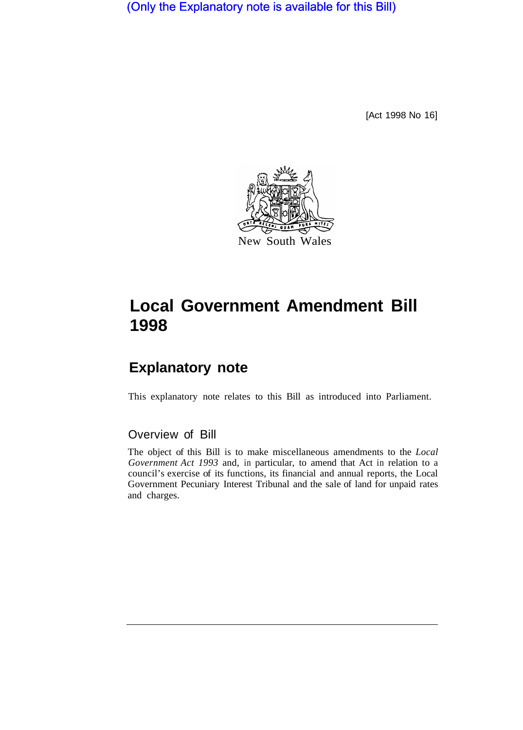(Only the Explanatory note is available for this Bill)

[Act 1998 No 16]



## **Local Government Amendment Bill 1998**

## **Explanatory note**

This explanatory note relates to this Bill as introduced into Parliament.

## Overview of Bill

The object of this Bill is to make miscellaneous amendments to the *Local Government Act 1993* and, in particular, to amend that Act in relation to a council's exercise of its functions, its financial and annual reports, the Local Government Pecuniary Interest Tribunal and the sale of land for unpaid rates and charges.